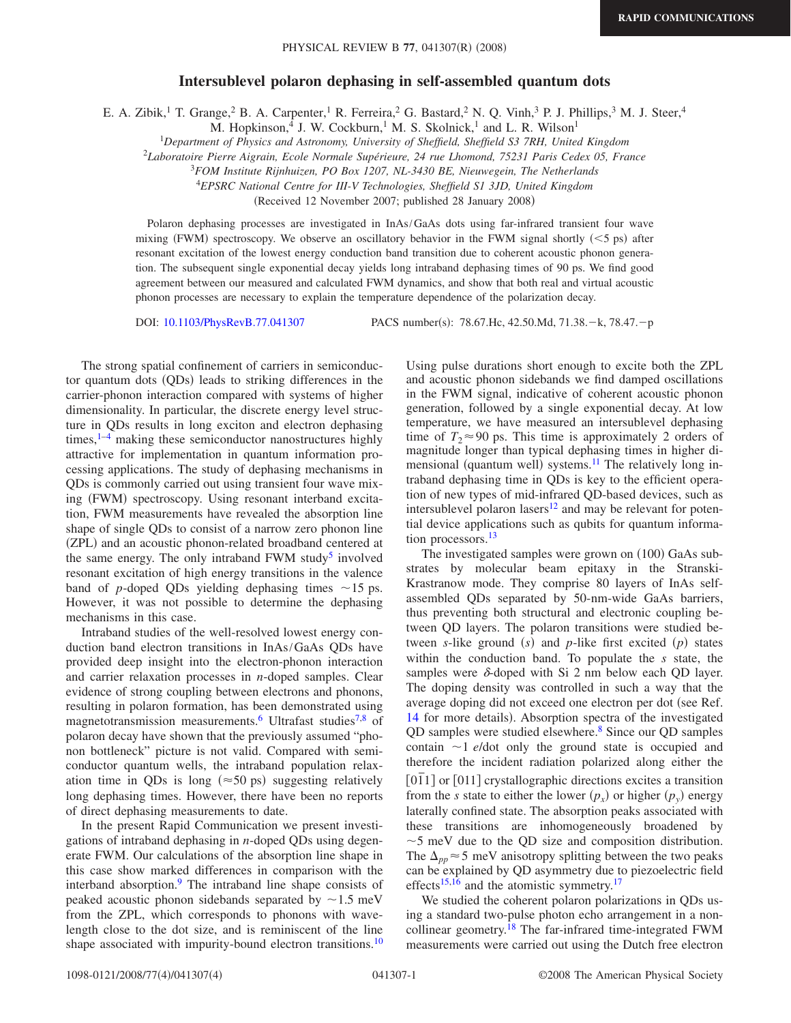## **Intersublevel polaron dephasing in self-assembled quantum dots**

E. A. Zibik,<sup>1</sup> T. Grange,<sup>2</sup> B. A. Carpenter,<sup>1</sup> R. Ferreira,<sup>2</sup> G. Bastard,<sup>2</sup> N. Q. Vinh,<sup>3</sup> P. J. Phillips,<sup>3</sup> M. J. Steer,<sup>4</sup>

M. Hopkinson,<sup>4</sup> J. W. Cockburn,<sup>1</sup> M. S. Skolnick,<sup>1</sup> and L. R. Wilson<sup>1</sup>

<sup>1</sup>*Department of Physics and Astronomy, University of Sheffield, Sheffield S3 7RH, United Kingdom*

2 *Laboratoire Pierre Aigrain, Ecole Normale Supérieure, 24 rue Lhomond, 75231 Paris Cedex 05, France*

<sup>3</sup>*FOM Institute Rijnhuizen, PO Box 1207, NL-3430 BE, Nieuwegein, The Netherlands*

<sup>4</sup>*EPSRC National Centre for III-V Technologies, Sheffield S1 3JD, United Kingdom*

(Received 12 November 2007; published 28 January 2008)

Polaron dephasing processes are investigated in InAs/GaAs dots using far-infrared transient four wave mixing (FWM) spectroscopy. We observe an oscillatory behavior in the FWM signal shortly  $(<$  5 ps) after resonant excitation of the lowest energy conduction band transition due to coherent acoustic phonon generation. The subsequent single exponential decay yields long intraband dephasing times of 90 ps. We find good agreement between our measured and calculated FWM dynamics, and show that both real and virtual acoustic phonon processes are necessary to explain the temperature dependence of the polarization decay.

DOI: [10.1103/PhysRevB.77.041307](http://dx.doi.org/10.1103/PhysRevB.77.041307)

: 78.67.Hc, 42.50.Md, 71.38.-k, 78.47.-p

The strong spatial confinement of carriers in semiconductor quantum dots (QDs) leads to striking differences in the carrier-phonon interaction compared with systems of higher dimensionality. In particular, the discrete energy level structure in QDs results in long exciton and electron dephasing times, $1-4$  $1-4$  making these semiconductor nanostructures highly attractive for implementation in quantum information processing applications. The study of dephasing mechanisms in QDs is commonly carried out using transient four wave mixing (FWM) spectroscopy. Using resonant interband excitation, FWM measurements have revealed the absorption line shape of single QDs to consist of a narrow zero phonon line (ZPL) and an acoustic phonon-related broadband centered at the same energy. The only intraband FWM study<sup>5</sup> involved resonant excitation of high energy transitions in the valence band of *p*-doped QDs yielding dephasing times  $\sim$ 15 ps. However, it was not possible to determine the dephasing mechanisms in this case.

Intraband studies of the well-resolved lowest energy conduction band electron transitions in InAs/GaAs QDs have provided deep insight into the electron-phonon interaction and carrier relaxation processes in *n*-doped samples. Clear evidence of strong coupling between electrons and phonons, resulting in polaron formation, has been demonstrated using magnetotransmission measurements.<sup>6</sup> Ultrafast studies<sup>7[,8](#page-3-5)</sup> of polaron decay have shown that the previously assumed "phonon bottleneck" picture is not valid. Compared with semiconductor quantum wells, the intraband population relaxation time in QDs is long ( $\approx$  50 ps) suggesting relatively long dephasing times. However, there have been no reports of direct dephasing measurements to date.

In the present Rapid Communication we present investigations of intraband dephasing in *n*-doped QDs using degenerate FWM. Our calculations of the absorption line shape in this case show marked differences in comparison with the interband absorption.<sup>9</sup> The intraband line shape consists of peaked acoustic phonon sidebands separated by  $\sim$ 1.5 meV from the ZPL, which corresponds to phonons with wavelength close to the dot size, and is reminiscent of the line shape associated with impurity-bound electron transitions.<sup>10</sup> Using pulse durations short enough to excite both the ZPL and acoustic phonon sidebands we find damped oscillations in the FWM signal, indicative of coherent acoustic phonon generation, followed by a single exponential decay. At low temperature, we have measured an intersublevel dephasing time of  $T_2 \approx 90$  ps. This time is approximately 2 orders of magnitude longer than typical dephasing times in higher dimensional (quantum well) systems.<sup>11</sup> The relatively long intraband dephasing time in QDs is key to the efficient operation of new types of mid-infrared QD-based devices, such as intersublevel polaron lasers $12$  and may be relevant for potential device applications such as qubits for quantum information processors.<sup>13</sup>

The investigated samples were grown on (100) GaAs substrates by molecular beam epitaxy in the Stranski-Krastranow mode. They comprise 80 layers of InAs selfassembled QDs separated by 50-nm-wide GaAs barriers, thus preventing both structural and electronic coupling between QD layers. The polaron transitions were studied between *s*-like ground  $(s)$  and *p*-like first excited  $(p)$  states within the conduction band. To populate the *s* state, the samples were  $\delta$ -doped with Si 2 nm below each QD layer. The doping density was controlled in such a way that the average doping did not exceed one electron per dot (see Ref. [14](#page-3-11) for more details). Absorption spectra of the investigated QD samples were studied elsewhere.<sup>8</sup> Since our QD samples contain  $\sim$ 1 *e*/dot only the ground state is occupied and therefore the incident radiation polarized along either the [011] or [011] crystallographic directions excites a transition from the *s* state to either the lower  $(p_x)$  or higher  $(p_y)$  energy laterally confined state. The absorption peaks associated with these transitions are inhomogeneously broadened by  $\sim$  5 meV due to the QD size and composition distribution. The  $\Delta_{nn} \approx 5$  meV anisotropy splitting between the two peaks can be explained by QD asymmetry due to piezoelectric field effects<sup>15,[16](#page-3-13)</sup> and the atomistic symmetry.<sup>17</sup>

We studied the coherent polaron polarizations in QDs using a standard two-pulse photon echo arrangement in a noncollinear geometry.<sup>18</sup> The far-infrared time-integrated FWM measurements were carried out using the Dutch free electron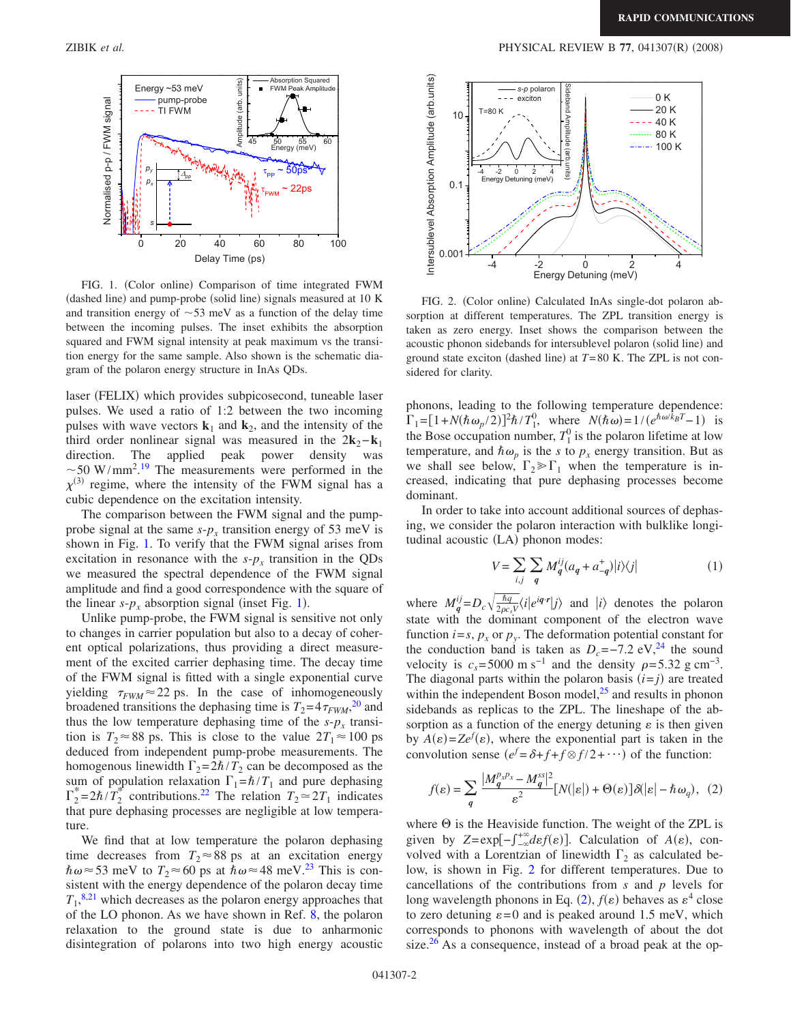<span id="page-1-0"></span>

FIG. 1. (Color online) Comparison of time integrated FWM (dashed line) and pump-probe (solid line) signals measured at 10 K and transition energy of  $\sim$  53 meV as a function of the delay time between the incoming pulses. The inset exhibits the absorption squared and FWM signal intensity at peak maximum vs the transition energy for the same sample. Also shown is the schematic diagram of the polaron energy structure in InAs QDs.

laser (FELIX) which provides subpicosecond, tuneable laser pulses. We used a ratio of 1:2 between the two incoming pulses with wave vectors  $\mathbf{k}_1$  and  $\mathbf{k}_2$ , and the intensity of the third order nonlinear signal was measured in the  $2\mathbf{k}_2 - \mathbf{k}_1$ direction. The applied peak power density was  $\sim$  50 W/mm<sup>2</sup>.<sup>[19](#page-3-16)</sup> The measurements were performed in the  $\chi^{(3)}$  regime, where the intensity of the FWM signal has a cubic dependence on the excitation intensity.

The comparison between the FWM signal and the pumpprobe signal at the same  $s-p_x$  transition energy of 53 meV is shown in Fig. [1.](#page-1-0) To verify that the FWM signal arises from excitation in resonance with the  $s-p_x$  transition in the QDs we measured the spectral dependence of the FWM signal amplitude and find a good correspondence with the square of the linear  $s-p_x$  absorption signal (inset Fig. [1](#page-1-0)).

Unlike pump-probe, the FWM signal is sensitive not only to changes in carrier population but also to a decay of coherent optical polarizations, thus providing a direct measurement of the excited carrier dephasing time. The decay time of the FWM signal is fitted with a single exponential curve yielding  $\tau_{FWM} \approx 22$  ps. In the case of inhomogeneously broadened transitions the dephasing time is  $T_2 = 4 \tau_{FWM}^{20}$  $T_2 = 4 \tau_{FWM}^{20}$  $T_2 = 4 \tau_{FWM}^{20}$  and thus the low temperature dephasing time of the  $s-p_x$  transition is  $T_2 \approx 88$  ps. This is close to the value  $2T_1 \approx 100$  ps deduced from independent pump-probe measurements. The homogenous linewidth  $\Gamma_2 = 2\hbar/T_2$  can be decomposed as the sum of population relaxation  $\Gamma_1 = \hbar / T_1$  and pure dephasing  $\Gamma_2^* = 2\hbar / T_2^*$  contributions.<sup>22</sup> The relation  $T_2 \approx 2T_1$  indicates that pure dephasing processes are negligible at low temperature.

We find that at low temperature the polaron dephasing time decreases from  $T_2 \approx 88$  ps at an excitation energy  $\hbar \omega \approx 53$  meV to  $T_2 \approx 60$  ps at  $\hbar \omega \approx 48$  meV.<sup>23</sup> This is consistent with the energy dependence of the polaron decay time  $T_1$ ,<sup>[8](#page-3-5)[,21](#page-3-20)</sup> which decreases as the polaron energy approaches that of the LO phonon. As we have shown in Ref. [8,](#page-3-5) the polaron relaxation to the ground state is due to anharmonic disintegration of polarons into two high energy acoustic

<span id="page-1-1"></span>

FIG. 2. (Color online) Calculated InAs single-dot polaron absorption at different temperatures. The ZPL transition energy is taken as zero energy. Inset shows the comparison between the acoustic phonon sidebands for intersublevel polaron (solid line) and ground state exciton (dashed line) at  $T=80$  K. The ZPL is not considered for clarity.

phonons, leading to the following temperature dependence:  $\Gamma_1 = [1 + N(\hbar \omega_p / 2)]^2 \hbar / T_1^0$ , where  $N(\hbar \omega) = 1/(e^{\hbar \omega / \hbar} T - 1)$  is the Bose occupation number,  $T_1^0$  is the polaron lifetime at low temperature, and  $\hbar \omega_p$  is the *s* to  $p_x$  energy transition. But as we shall see below,  $\Gamma_2 \gg \Gamma_1$  when the temperature is increased, indicating that pure dephasing processes become dominant.

In order to take into account additional sources of dephasing, we consider the polaron interaction with bulklike longitudinal acoustic (LA) phonon modes:

$$
V = \sum_{i,j} \sum_{q} M_q^{ij} (a_q + a_{-q}^+) |i\rangle\langle j| \tag{1}
$$

where  $M_q^{ij} = D_c \sqrt{\frac{\hbar q}{2\rho c_s V}} \langle i|e^{i\mathbf{q} \cdot \mathbf{r}}|j\rangle$  and  $|i\rangle$  denotes the polaron state with the dominant component of the electron wave function  $i=s$ ,  $p_x$  or  $p_y$ . The deformation potential constant for the conduction band is taken as  $D_c$ =−7.2 eV,<sup>24</sup> the sound velocity is  $c_s$ = 5000 m s<sup>-1</sup> and the density  $\rho$ = 5.32 g cm<sup>-3</sup>. The diagonal parts within the polaron basis  $(i=j)$  are treated within the independent Boson model, $^{25}$  and results in phonon sidebands as replicas to the ZPL. The lineshape of the absorption as a function of the energy detuning  $\varepsilon$  is then given by  $A(\varepsilon) = Ze^{f}(\varepsilon)$ , where the exponential part is taken in the convolution sense  $(e^f = \delta + f + f \otimes f/2 + \cdots)$  of the function:

<span id="page-1-2"></span>
$$
f(\varepsilon) = \sum_{q} \frac{|M_q^{p_x p_x} - M_q^{ss}|^2}{\varepsilon^2} [N(|\varepsilon|) + \Theta(\varepsilon)] \delta(|\varepsilon| - \hbar \omega_q), (2)
$$

where  $\Theta$  is the Heaviside function. The weight of the ZPL is given by  $Z = \exp[-\int_{-\infty}^{+\infty} \frac{d\epsilon f(\epsilon)}{d\epsilon}$ . Calculation of  $A(\epsilon)$ , convolved with a Lorentzian of linewidth  $\Gamma_2$  as calculated below, is shown in Fig. [2](#page-1-1) for different temperatures. Due to cancellations of the contributions from *s* and *p* levels for long wavelength phonons in Eq. ([2](#page-1-2)),  $f(\varepsilon)$  behaves as  $\varepsilon^4$  close to zero detuning  $\varepsilon = 0$  and is peaked around 1.5 meV, which corresponds to phonons with wavelength of about the dot size. $26$  As a consequence, instead of a broad peak at the op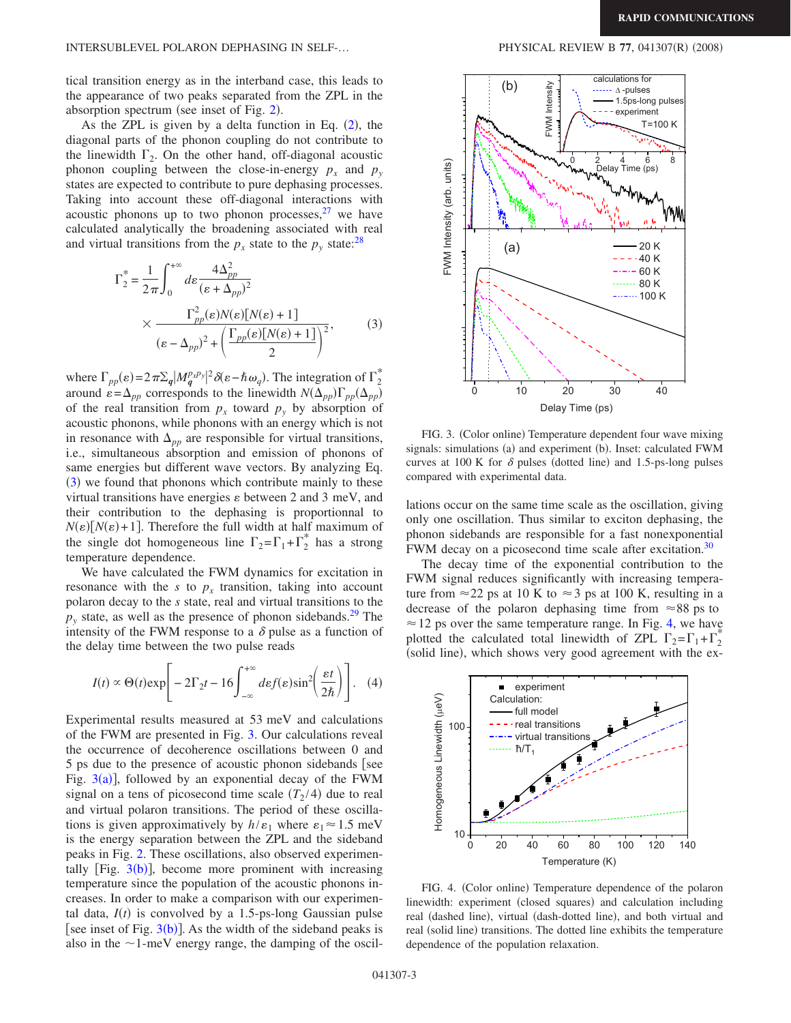tical transition energy as in the interband case, this leads to the appearance of two peaks separated from the ZPL in the absorption spectrum (see inset of Fig.  $2$ ).

As the ZPL is given by a delta function in Eq.  $(2)$  $(2)$  $(2)$ , the diagonal parts of the phonon coupling do not contribute to the linewidth  $\Gamma_2$ . On the other hand, off-diagonal acoustic phonon coupling between the close-in-energy  $p_x$  and  $p_y$ states are expected to contribute to pure dephasing processes. Taking into account these off-diagonal interactions with acoustic phonons up to two phonon processes, $27$  we have calculated analytically the broadening associated with real and virtual transitions from the  $p_x$  state to the  $p_y$  state:<sup>28</sup>

<span id="page-2-0"></span>
$$
\Gamma_2^* = \frac{1}{2\pi} \int_0^{+\infty} d\varepsilon \frac{4\Delta_{pp}^2}{(\varepsilon + \Delta_{pp})^2} \times \frac{\Gamma_{pp}^2(\varepsilon)N(\varepsilon)[N(\varepsilon) + 1]}{(\varepsilon - \Delta_{pp})^2 + \left(\frac{\Gamma_{pp}(\varepsilon)[N(\varepsilon) + 1]}{2}\right)^2},
$$
\n(3)

where  $\Gamma_{pp}(\varepsilon) = 2\pi \Sigma_q |M_q^{p_x p_y}|^2 \delta(\varepsilon - \hbar \omega_q)$ . The integration of  $\Gamma_2^*$ around  $\varepsilon = \Delta_{pp}$  corresponds to the linewidth  $N(\Delta_{pp})\Gamma_{pp}(\Delta_{pp})$ of the real transition from  $p_x$  toward  $p_y$  by absorption of acoustic phonons, while phonons with an energy which is not in resonance with  $\Delta_{pp}$  are responsible for virtual transitions, i.e., simultaneous absorption and emission of phonons of same energies but different wave vectors. By analyzing Eq. ([3](#page-2-0)) we found that phonons which contribute mainly to these virtual transitions have energies  $\varepsilon$  between 2 and 3 meV, and their contribution to the dephasing is proportionnal to  $N(\varepsilon)$ [*N*( $\varepsilon$ )+1]. Therefore the full width at half maximum of the single dot homogeneous line  $\Gamma_2 = \Gamma_1 + \Gamma_2^*$  has a strong temperature dependence.

We have calculated the FWM dynamics for excitation in resonance with the  $s$  to  $p_x$  transition, taking into account polaron decay to the *s* state, real and virtual transitions to the  $p_y$  state, as well as the presence of phonon sidebands.<sup>29</sup> The intensity of the FWM response to a  $\delta$  pulse as a function of the delay time between the two pulse reads

$$
I(t) \propto \Theta(t) \exp\left[-2\Gamma_2 t - 16 \int_{-\infty}^{+\infty} d\varepsilon f(\varepsilon) \sin^2\left(\frac{\varepsilon t}{2\hbar}\right)\right].
$$
 (4)

Experimental results measured at 53 meV and calculations of the FWM are presented in Fig. [3.](#page-2-1) Our calculations reveal the occurrence of decoherence oscillations between 0 and  $5$  ps due to the presence of acoustic phonon sidebands see Fig.  $3(a)$  $3(a)$ ], followed by an exponential decay of the FWM signal on a tens of picosecond time scale  $(T_2/4)$  due to real and virtual polaron transitions. The period of these oscillations is given approximatively by  $h/\varepsilon_1$  where  $\varepsilon_1 \approx 1.5$  meV is the energy separation between the ZPL and the sideband peaks in Fig. [2.](#page-1-1) These oscillations, also observed experimentally [Fig.  $3(b)$  $3(b)$ ], become more prominent with increasing temperature since the population of the acoustic phonons increases. In order to make a comparison with our experimental data,  $I(t)$  is convolved by a 1.5-ps-long Gaussian pulse [see inset of Fig.  $3(b)$  $3(b)$ ]. As the width of the sideband peaks is also in the  $\sim$ 1-meV energy range, the damping of the oscil-

 $(2008)$ 

<span id="page-2-1"></span>

FIG. 3. (Color online) Temperature dependent four wave mixing signals: simulations (a) and experiment (b). Inset: calculated FWM curves at 100 K for  $\delta$  pulses (dotted line) and 1.5-ps-long pulses compared with experimental data.

lations occur on the same time scale as the oscillation, giving only one oscillation. Thus similar to exciton dephasing, the phonon sidebands are responsible for a fast nonexponential FWM decay on a picosecond time scale after excitation.<sup>30</sup>

The decay time of the exponential contribution to the FWM signal reduces significantly with increasing temperature from  $\approx$  22 ps at 10 K to  $\approx$  3 ps at 100 K, resulting in a decrease of the polaron dephasing time from  $\approx 88$  ps to  $\approx$  12 ps over the same temperature range. In Fig. [4,](#page-2-2) we have plotted the calculated total linewidth of ZPL  $\Gamma_2 = \Gamma_1 + \Gamma_2^*$ (solid line), which shows very good agreement with the ex-

<span id="page-2-2"></span>

FIG. 4. (Color online) Temperature dependence of the polaron linewidth: experiment (closed squares) and calculation including real (dashed line), virtual (dash-dotted line), and both virtual and real (solid line) transitions. The dotted line exhibits the temperature dependence of the population relaxation.